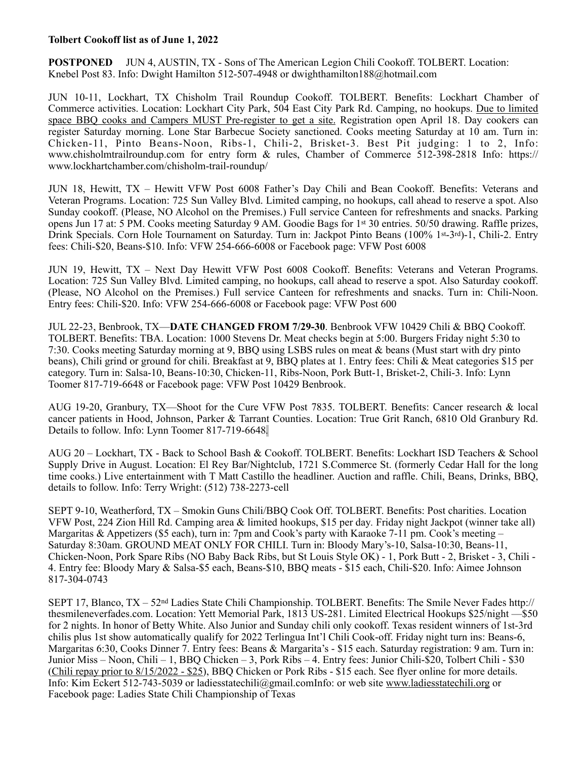## **Tolbert Cookoff list as of June 1, 2022**

**POSTPONED** JUN 4, AUSTIN, TX - Sons of The American Legion Chili Cookoff. TOLBERT. Location: Knebel Post 83. Info: Dwight Hamilton 512-507-4948 or [dwighthamilton188@hotmail.com](mailto:dwighthamilton188@hotmail.com)

JUN 10-11, Lockhart, TX Chisholm Trail Roundup Cookoff. TOLBERT. Benefits: Lockhart Chamber of Commerce activities. Location: Lockhart City Park, 504 East City Park Rd. Camping, no hookups. Due to limited space BBQ cooks and Campers MUST Pre-register to get a site. Registration open April 18. Day cookers can register Saturday morning. Lone Star Barbecue Society sanctioned. Cooks meeting Saturday at 10 am. Turn in: Chicken-11, Pinto Beans-Noon, Ribs-1, Chili-2, Brisket-3. Best Pit judging: 1 to 2, Info: www.chisholmtrailroundup.com for entry form & rules, Chamber of Commerce 512-398-2818 Info: [https://](https://www.lockhartchamber.com/chisholm-trail-roundup/) [www.lockhartchamber.com/chisholm-trail-roundup/](https://www.lockhartchamber.com/chisholm-trail-roundup/)

JUN 18, Hewitt, TX – Hewitt VFW Post 6008 Father's Day Chili and Bean Cookoff. Benefits: Veterans and Veteran Programs. Location: 725 Sun Valley Blvd. Limited camping, no hookups, call ahead to reserve a spot. Also Sunday cookoff. (Please, NO Alcohol on the Premises.) Full service Canteen for refreshments and snacks. Parking opens Jun 17 at: 5 PM. Cooks meeting Saturday 9 AM. Goodie Bags for 1st 30 entries. 50/50 drawing. Raffle prizes, Drink Specials. Corn Hole Tournament on Saturday. Turn in: Jackpot Pinto Beans (100% 1st-3rd)-1, Chili-2. Entry fees: Chili-\$20, Beans-\$10. Info: VFW 254-666-6008 or Facebook page: VFW Post 6008

JUN 19, Hewitt, TX – Next Day Hewitt VFW Post 6008 Cookoff. Benefits: Veterans and Veteran Programs. Location: 725 Sun Valley Blvd. Limited camping, no hookups, call ahead to reserve a spot. Also Saturday cookoff. (Please, NO Alcohol on the Premises.) Full service Canteen for refreshments and snacks. Turn in: Chili-Noon. Entry fees: Chili-\$20. Info: VFW 254-666-6008 or Facebook page: VFW Post 600

JUL 22-23, Benbrook, TX—**DATE CHANGED FROM 7/29-30**. Benbrook VFW 10429 Chili & BBQ Cookoff. TOLBERT. Benefits: TBA. Location: 1000 Stevens Dr. Meat checks begin at 5:00. Burgers Friday night 5:30 to 7:30. Cooks meeting Saturday morning at 9, BBQ using LSBS rules on meat & beans (Must start with dry pinto beans), Chili grind or ground for chili. Breakfast at 9, BBQ plates at 1. Entry fees: Chili & Meat categories \$15 per category. Turn in: Salsa-10, Beans-10:30, Chicken-11, Ribs-Noon, Pork Butt-1, Brisket-2, Chili-3. Info: Lynn Toomer 817-719-6648 or Facebook page: VFW Post 10429 Benbrook.

AUG 19-20, Granbury, TX—Shoot for the Cure VFW Post 7835. TOLBERT. Benefits: Cancer research & local cancer patients in Hood, Johnson, Parker & Tarrant Counties. Location: True Grit Ranch, 6810 Old Granbury Rd. Details to follow. Info: Lynn Toomer 817-719-6648*.*

AUG 20 – Lockhart, TX - Back to School Bash & Cookoff. TOLBERT. Benefits: Lockhart ISD Teachers & School Supply Drive in August. Location: El Rey Bar/Nightclub, 1721 S.Commerce St. (formerly Cedar Hall for the long time cooks.) Live entertainment with T Matt Castillo the headliner. Auction and raffle. Chili, Beans, Drinks, BBQ, details to follow. Info: Terry Wright: (512) 738-2273-cell

SEPT 9-10, Weatherford, TX – Smokin Guns Chili/BBQ Cook Off. TOLBERT. Benefits: Post charities. Location VFW Post, 224 Zion Hill Rd. Camping area & limited hookups, \$15 per day*.* Friday night Jackpot (winner take all) Margaritas & Appetizers (\$5 each), turn in: 7pm and Cook's party with Karaoke 7-11 pm. Cook's meeting – Saturday 8:30am. GROUND MEAT ONLY FOR CHILI. Turn in: Bloody Mary's-10, Salsa-10:30, Beans-11, Chicken-Noon, Pork Spare Ribs (NO Baby Back Ribs, but St Louis Style OK) - 1, Pork Butt - 2, Brisket - 3, Chili - 4. Entry fee: Bloody Mary & Salsa-\$5 each, Beans-\$10, BBQ meats - \$15 each, Chili-\$20. Info: Aimee Johnson 817-304-0743

SEPT 17, Blanco, TX – 52nd Ladies State Chili Championship. TOLBERT. Benefits: The Smile Never Fades [http://](https://na01.safelinks.protection.outlook.com/?url=http://thesmileneverfades.com/&data=04%257C01%257C%257Cfd589d97300843ff9ffe08d9e26d9655%257C84df9e7fe9f640afb435aaaaaaaaaaaa%257C1%257C0%257C637789782571639412%257CUnknown%257CTWFpbGZsb3d8eyJWIjoiMC4wLjAwMDAiLCJQIjoiV2luMzIiLCJBTiI6Ik1haWwiLCJXVCI6Mn0=%257C3000&sdata=1Zne/8qp21yFgS+08qQLIJIRq1xWaxkqQ2aPu24KkIk=&reserved=0) [thesmileneverfades.com.](https://na01.safelinks.protection.outlook.com/?url=http://thesmileneverfades.com/&data=04%257C01%257C%257Cfd589d97300843ff9ffe08d9e26d9655%257C84df9e7fe9f640afb435aaaaaaaaaaaa%257C1%257C0%257C637789782571639412%257CUnknown%257CTWFpbGZsb3d8eyJWIjoiMC4wLjAwMDAiLCJQIjoiV2luMzIiLCJBTiI6Ik1haWwiLCJXVCI6Mn0=%257C3000&sdata=1Zne/8qp21yFgS+08qQLIJIRq1xWaxkqQ2aPu24KkIk=&reserved=0) Location: Yett Memorial Park, 1813 US-281. Limited Electrical Hookups \$25/night —\$50 for 2 nights. In honor of Betty White. Also Junior and Sunday chili only cookoff. Texas resident winners of 1st-3rd chilis plus 1st show automatically qualify for 2022 Terlingua Int'l Chili Cook-off. Friday night turn ins: Beans-6, Margaritas 6:30, Cooks Dinner 7. Entry fees: Beans & Margarita's - \$15 each. Saturday registration: 9 am. Turn in: Junior Miss – Noon, Chili – 1, BBQ Chicken – 3, Pork Ribs – 4. Entry fees: Junior Chili-\$20, Tolbert Chili - \$30 (Chili repay prior to 8/15/2022 - \$25), BBQ Chicken or Pork Ribs - \$15 each. See flyer online for more details. Info: Kim Eckert 512-743-5039 or ladiesstatechili@gmail.comInfo: or web site [www.ladiesstatechili.org](http://www.ladiesstatechili.org) or Facebook page: Ladies State Chili Championship of Texas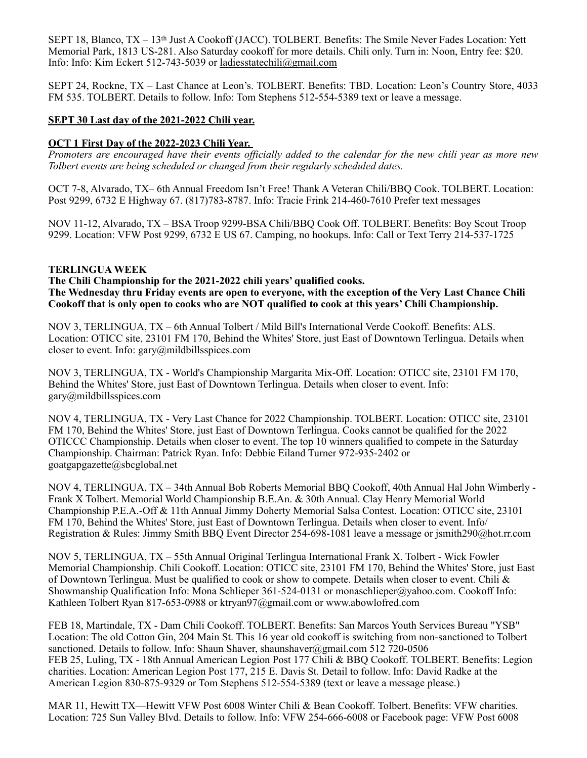SEPT 18, Blanco, TX – 13th Just A Cookoff (JACC). TOLBERT. Benefits: The Smile Never Fades Location: Yett Memorial Park, 1813 US-281. Also Saturday cookoff for more details. Chili only. Turn in: Noon, Entry fee: \$20. Info: Info: Kim Eckert 512-743-5039 or [ladiesstatechili@gmail.com](mailto:ladiesstatechili@gmail.com)

SEPT 24, Rockne, TX – Last Chance at Leon's. TOLBERT. Benefits: TBD. Location: Leon's Country Store, 4033 FM 535. TOLBERT. Details to follow. Info: Tom Stephens 512-554-5389 text or leave a message.

## **SEPT 30 Last day of the 2021-2022 Chili year.**

## **OCT 1 First Day of the 2022-2023 Chili Year.**

*Promoters are encouraged have their events officially added to the calendar for the new chili year as more new Tolbert events are being scheduled or changed from their regularly scheduled dates.*

OCT 7-8, Alvarado, TX– 6th Annual Freedom Isn't Free! Thank A Veteran Chili/BBQ Cook. TOLBERT. Location: Post 9299, 6732 E Highway 67. (817)783-8787. Info: Tracie Frink 214-460-7610 Prefer text messages

NOV 11-12, Alvarado, TX – BSA Troop 9299-BSA Chili/BBQ Cook Off. TOLBERT. Benefits: Boy Scout Troop 9299. Location: VFW Post 9299, 6732 E US 67. Camping, no hookups. Info: Call or Text Terry 214-537-1725

## **TERLINGUA WEEK**

**The Chili Championship for the 2021-2022 chili years' qualified cooks. The Wednesday thru Friday events are open to everyone, with the exception of the Very Last Chance Chili Cookoff that is only open to cooks who are NOT qualified to cook at this years' Chili Championship.** 

NOV 3, TERLINGUA, TX – 6th Annual Tolbert / Mild Bill's International Verde Cookoff. Benefits: ALS. Location: OTICC site, 23101 FM 170, Behind the Whites' Store, just East of Downtown Terlingua. Details when closer to event. Info: gary@mildbillsspices.com

NOV 3, TERLINGUA, TX - World's Championship Margarita Mix-Off. Location: OTICC site, 23101 FM 170, Behind the Whites' Store, just East of Downtown Terlingua. Details when closer to event. Info: gary@mildbillsspices.com

NOV 4, TERLINGUA, TX - Very Last Chance for 2022 Championship. TOLBERT. Location: OTICC site, 23101 FM 170, Behind the Whites' Store, just East of Downtown Terlingua. Cooks cannot be qualified for the 2022 OTICCC Championship. Details when closer to event. The top 10 winners qualified to compete in the Saturday Championship. Chairman: Patrick Ryan. Info: Debbie Eiland Turner 972-935-2402 or goatgapgazette@sbcglobal.net

NOV 4, TERLINGUA, TX – 34th Annual Bob Roberts Memorial BBQ Cookoff, 40th Annual Hal John Wimberly - Frank X Tolbert. Memorial World Championship B.E.An. & 30th Annual. Clay Henry Memorial World Championship P.E.A.-Off & 11th Annual Jimmy Doherty Memorial Salsa Contest. Location: OTICC site, 23101 FM 170, Behind the Whites' Store, just East of Downtown Terlingua. Details when closer to event. Info/ Registration & Rules: Jimmy Smith BBQ Event Director 254-698-1081 leave a message or jsmith290@hot.rr.com

NOV 5, TERLINGUA, TX – 55th Annual Original Terlingua International Frank X. Tolbert - Wick Fowler Memorial Championship. Chili Cookoff. Location: OTICC site, 23101 FM 170, Behind the Whites' Store, just East of Downtown Terlingua. Must be qualified to cook or show to compete. Details when closer to event. Chili & Showmanship Qualification Info: Mona Schlieper 361-524-0131 or monaschlieper@yahoo.com. Cookoff Info: Kathleen Tolbert Ryan 817-653-0988 or ktryan97@gmail.com or www.abowlofred.com

FEB 18, Martindale, TX - Dam Chili Cookoff. TOLBERT. Benefits: San Marcos Youth Services Bureau "YSB" Location: The old Cotton Gin, 204 Main St. This 16 year old cookoff is switching from non-sanctioned to Tolbert sanctioned. Details to follow. Info: Shaun Shaver, shaunshaver@gmail.com 512 720-0506 FEB 25, Luling, TX - 18th Annual American Legion Post 177 Chili & BBQ Cookoff. TOLBERT. Benefits: Legion charities. Location: American Legion Post 177, 215 E. Davis St. Detail to follow. Info: David Radke at the American Legion 830-875-9329 or Tom Stephens 512-554-5389 (text or leave a message please.)

MAR 11, Hewitt TX—Hewitt VFW Post 6008 Winter Chili & Bean Cookoff. Tolbert. Benefits: VFW charities. Location: 725 Sun Valley Blvd. Details to follow. Info: VFW 254-666-6008 or Facebook page: VFW Post 6008